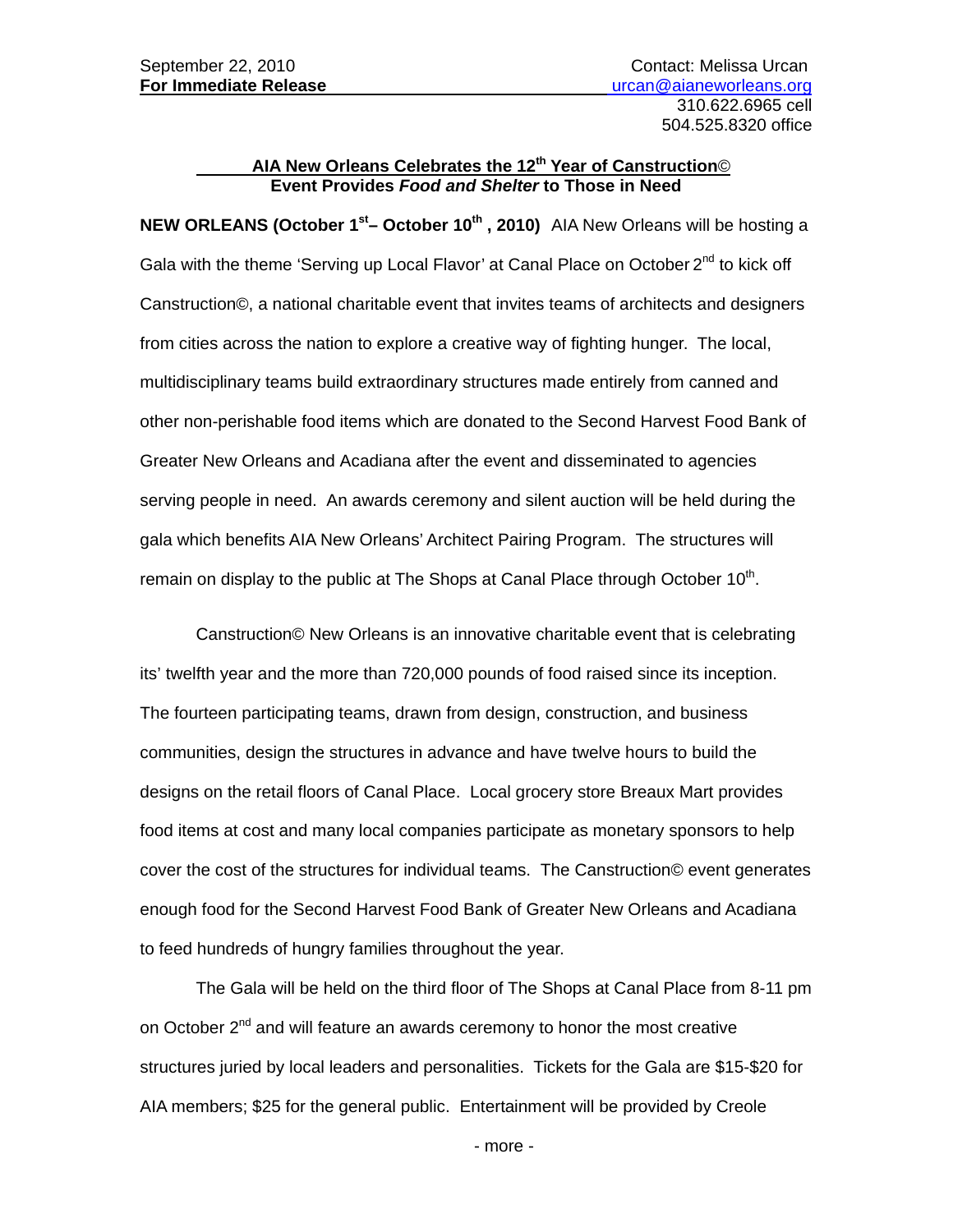## **AIA New Orleans Celebrates the 12th Year of Canstruction**© **Event Provides** *Food and Shelter* **to Those in Need**

**NEW ORLEANS (October 1<sup>st</sup>– October 10<sup>th</sup>, 2010)** AIA New Orleans will be hosting a Gala with the theme 'Serving up Local Flavor' at Canal Place on October 2<sup>nd</sup> to kick off Canstruction©, a national charitable event that invites teams of architects and designers from cities across the nation to explore a creative way of fighting hunger. The local, multidisciplinary teams build extraordinary structures made entirely from canned and other non-perishable food items which are donated to the Second Harvest Food Bank of Greater New Orleans and Acadiana after the event and disseminated to agencies serving people in need. An awards ceremony and silent auction will be held during the gala which benefits AIA New Orleans' Architect Pairing Program. The structures will remain on display to the public at The Shops at Canal Place through October  $10<sup>th</sup>$ .

 Canstruction© New Orleans is an innovative charitable event that is celebrating its' twelfth year and the more than 720,000 pounds of food raised since its inception. The fourteen participating teams, drawn from design, construction, and business communities, design the structures in advance and have twelve hours to build the designs on the retail floors of Canal Place. Local grocery store Breaux Mart provides food items at cost and many local companies participate as monetary sponsors to help cover the cost of the structures for individual teams. The Canstruction© event generates enough food for the Second Harvest Food Bank of Greater New Orleans and Acadiana to feed hundreds of hungry families throughout the year.

The Gala will be held on the third floor of The Shops at Canal Place from 8-11 pm on October 2<sup>nd</sup> and will feature an awards ceremony to honor the most creative structures juried by local leaders and personalities. Tickets for the Gala are \$15-\$20 for AIA members; \$25 for the general public. Entertainment will be provided by Creole

- more -